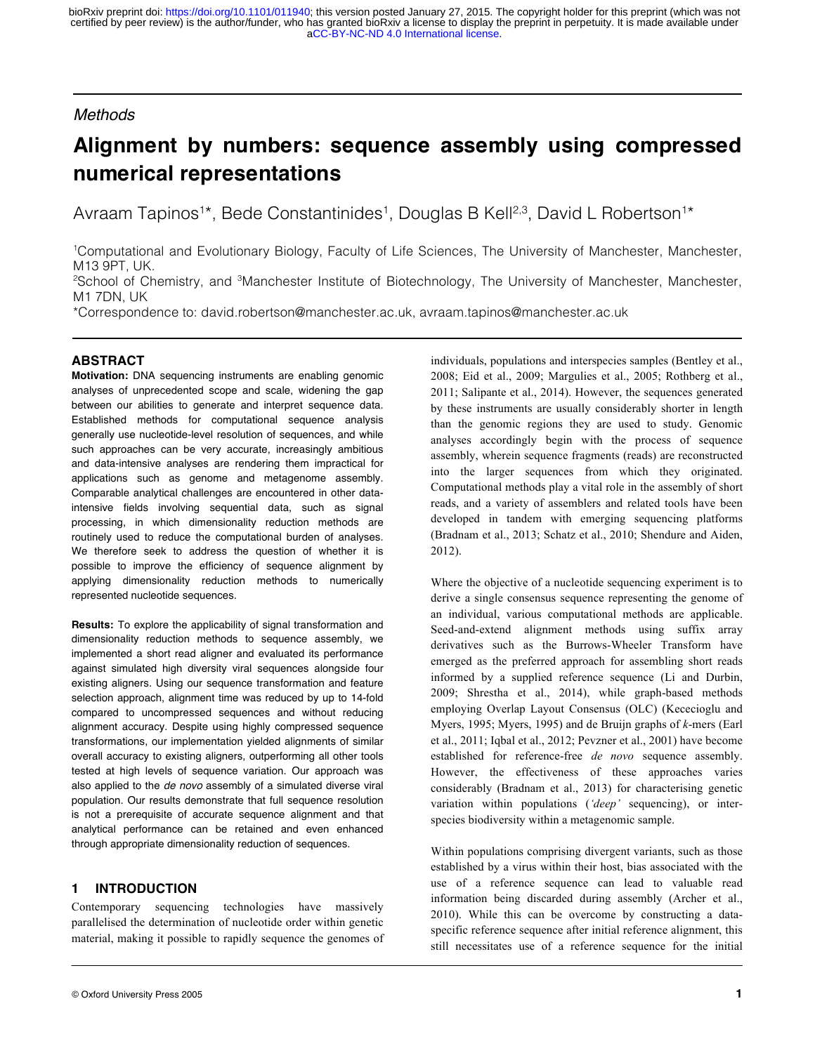# *Methods*

# **Alignment by numbers: sequence assembly using compressed numerical representations**

Avraam Tapinos<sup>1\*</sup>, Bede Constantinides<sup>1</sup>, Douglas B Kell<sup>2,3</sup>, David L Robertson<sup>1\*</sup>

1 Computational and Evolutionary Biology, Faculty of Life Sciences, The University of Manchester, Manchester, M13 9PT, UK.

<sup>2</sup>School of Chemistry, and <sup>3</sup>Manchester Institute of Biotechnology, The University of Manchester, Manchester, M1 7DN, UK

\*Correspondence to: david.robertson@manchester.ac.uk, avraam.tapinos@manchester.ac.uk

# **ABSTRACT**

**Motivation:** DNA sequencing instruments are enabling genomic analyses of unprecedented scope and scale, widening the gap between our abilities to generate and interpret sequence data. Established methods for computational sequence analysis generally use nucleotide-level resolution of sequences, and while such approaches can be very accurate, increasingly ambitious and data-intensive analyses are rendering them impractical for applications such as genome and metagenome assembly. Comparable analytical challenges are encountered in other dataintensive fields involving sequential data, such as signal processing, in which dimensionality reduction methods are routinely used to reduce the computational burden of analyses. We therefore seek to address the question of whether it is possible to improve the efficiency of sequence alignment by applying dimensionality reduction methods to numerically represented nucleotide sequences.

**Results:** To explore the applicability of signal transformation and dimensionality reduction methods to sequence assembly, we implemented a short read aligner and evaluated its performance against simulated high diversity viral sequences alongside four existing aligners. Using our sequence transformation and feature selection approach, alignment time was reduced by up to 14-fold compared to uncompressed sequences and without reducing alignment accuracy. Despite using highly compressed sequence transformations, our implementation yielded alignments of similar overall accuracy to existing aligners, outperforming all other tools tested at high levels of sequence variation. Our approach was also applied to the *de novo* assembly of a simulated diverse viral population. Our results demonstrate that full sequence resolution is not a prerequisite of accurate sequence alignment and that analytical performance can be retained and even enhanced through appropriate dimensionality reduction of sequences.

# **1 INTRODUCTION**

Contemporary sequencing technologies have massively parallelised the determination of nucleotide order within genetic material, making it possible to rapidly sequence the genomes of

individuals, populations and interspecies samples (Bentley et al., 2008; Eid et al., 2009; Margulies et al., 2005; Rothberg et al., 2011; Salipante et al., 2014). However, the sequences generated by these instruments are usually considerably shorter in length than the genomic regions they are used to study. Genomic analyses accordingly begin with the process of sequence assembly, wherein sequence fragments (reads) are reconstructed into the larger sequences from which they originated. Computational methods play a vital role in the assembly of short reads, and a variety of assemblers and related tools have been developed in tandem with emerging sequencing platforms (Bradnam et al., 2013; Schatz et al., 2010; Shendure and Aiden, 2012).

Where the objective of a nucleotide sequencing experiment is to derive a single consensus sequence representing the genome of an individual, various computational methods are applicable. Seed-and-extend alignment methods using suffix array derivatives such as the Burrows-Wheeler Transform have emerged as the preferred approach for assembling short reads informed by a supplied reference sequence (Li and Durbin, 2009; Shrestha et al., 2014), while graph-based methods employing Overlap Layout Consensus (OLC) (Kececioglu and Myers, 1995; Myers, 1995) and de Bruijn graphs of *k*-mers (Earl et al., 2011; Iqbal et al., 2012; Pevzner et al., 2001) have become established for reference-free *de novo* sequence assembly. However, the effectiveness of these approaches varies considerably (Bradnam et al., 2013) for characterising genetic variation within populations (*'deep'* sequencing), or interspecies biodiversity within a metagenomic sample.

Within populations comprising divergent variants, such as those established by a virus within their host, bias associated with the use of a reference sequence can lead to valuable read information being discarded during assembly (Archer et al., 2010). While this can be overcome by constructing a dataspecific reference sequence after initial reference alignment, this still necessitates use of a reference sequence for the initial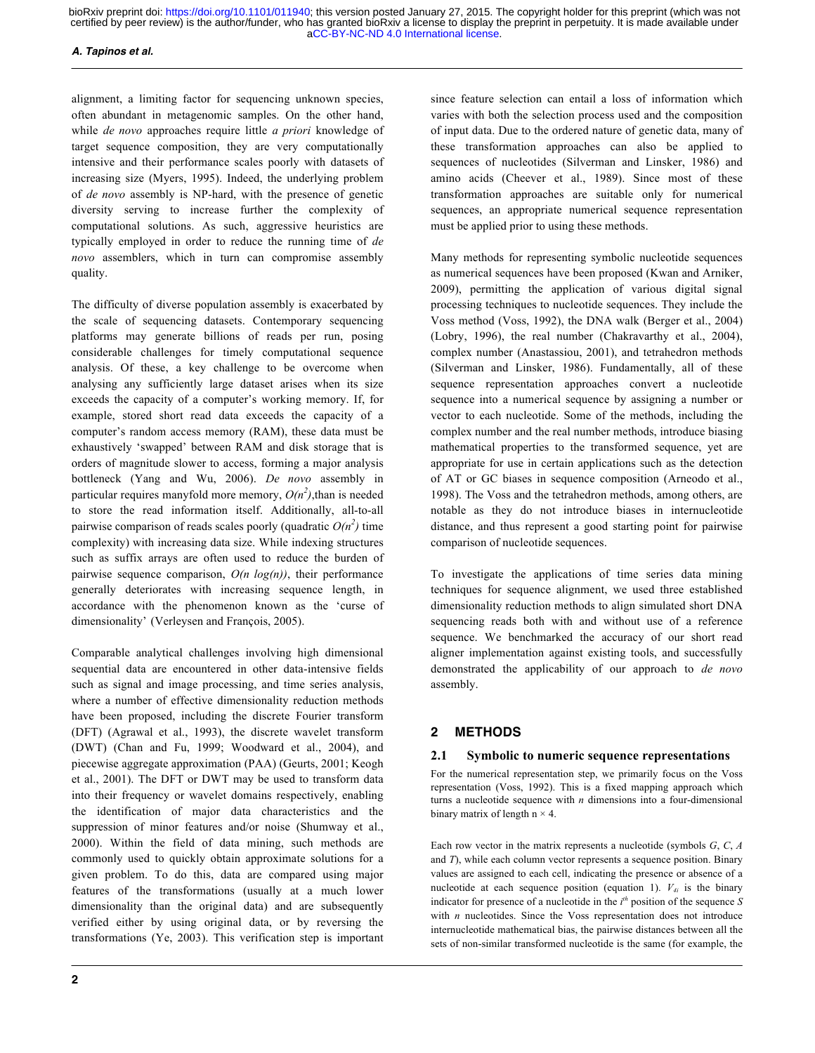# *A. Tapinos et al.*

alignment, a limiting factor for sequencing unknown species, often abundant in metagenomic samples. On the other hand, while *de novo* approaches require little *a priori* knowledge of target sequence composition, they are very computationally intensive and their performance scales poorly with datasets of increasing size (Myers, 1995). Indeed, the underlying problem of *de novo* assembly is NP-hard, with the presence of genetic diversity serving to increase further the complexity of computational solutions. As such, aggressive heuristics are typically employed in order to reduce the running time of *de novo* assemblers, which in turn can compromise assembly quality.

The difficulty of diverse population assembly is exacerbated by the scale of sequencing datasets. Contemporary sequencing platforms may generate billions of reads per run, posing considerable challenges for timely computational sequence analysis. Of these, a key challenge to be overcome when analysing any sufficiently large dataset arises when its size exceeds the capacity of a computer's working memory. If, for example, stored short read data exceeds the capacity of a computer's random access memory (RAM), these data must be exhaustively 'swapped' between RAM and disk storage that is orders of magnitude slower to access, forming a major analysis bottleneck (Yang and Wu, 2006). *De novo* assembly in particular requires manyfold more memory,  $O(n^2)$ , than is needed to store the read information itself. Additionally, all-to-all pairwise comparison of reads scales poorly (quadratic  $O(n^2)$  time complexity) with increasing data size. While indexing structures such as suffix arrays are often used to reduce the burden of pairwise sequence comparison, *O(n log(n))*, their performance generally deteriorates with increasing sequence length, in accordance with the phenomenon known as the 'curse of dimensionality' (Verleysen and François, 2005).

Comparable analytical challenges involving high dimensional sequential data are encountered in other data-intensive fields such as signal and image processing, and time series analysis, where a number of effective dimensionality reduction methods have been proposed, including the discrete Fourier transform (DFT) (Agrawal et al., 1993), the discrete wavelet transform (DWT) (Chan and Fu, 1999; Woodward et al., 2004), and piecewise aggregate approximation (PAA) (Geurts, 2001; Keogh et al., 2001). The DFT or DWT may be used to transform data into their frequency or wavelet domains respectively, enabling the identification of major data characteristics and the suppression of minor features and/or noise (Shumway et al., 2000). Within the field of data mining, such methods are commonly used to quickly obtain approximate solutions for a given problem. To do this, data are compared using major features of the transformations (usually at a much lower dimensionality than the original data) and are subsequently verified either by using original data, or by reversing the transformations (Ye, 2003). This verification step is important

since feature selection can entail a loss of information which varies with both the selection process used and the composition of input data. Due to the ordered nature of genetic data, many of these transformation approaches can also be applied to sequences of nucleotides (Silverman and Linsker, 1986) and amino acids (Cheever et al., 1989). Since most of these transformation approaches are suitable only for numerical sequences, an appropriate numerical sequence representation must be applied prior to using these methods.

Many methods for representing symbolic nucleotide sequences as numerical sequences have been proposed (Kwan and Arniker, 2009), permitting the application of various digital signal processing techniques to nucleotide sequences. They include the Voss method (Voss, 1992), the DNA walk (Berger et al., 2004) (Lobry, 1996), the real number (Chakravarthy et al., 2004), complex number (Anastassiou, 2001), and tetrahedron methods (Silverman and Linsker, 1986). Fundamentally, all of these sequence representation approaches convert a nucleotide sequence into a numerical sequence by assigning a number or vector to each nucleotide. Some of the methods, including the complex number and the real number methods, introduce biasing mathematical properties to the transformed sequence, yet are appropriate for use in certain applications such as the detection of AT or GC biases in sequence composition (Arneodo et al., 1998). The Voss and the tetrahedron methods, among others, are notable as they do not introduce biases in internucleotide distance, and thus represent a good starting point for pairwise comparison of nucleotide sequences.

To investigate the applications of time series data mining techniques for sequence alignment, we used three established dimensionality reduction methods to align simulated short DNA sequencing reads both with and without use of a reference sequence. We benchmarked the accuracy of our short read aligner implementation against existing tools, and successfully demonstrated the applicability of our approach to *de novo* assembly.

# **2 METHODS**

# **2.1 Symbolic to numeric sequence representations**

For the numerical representation step, we primarily focus on the Voss representation (Voss, 1992). This is a fixed mapping approach which turns a nucleotide sequence with *n* dimensions into a four-dimensional binary matrix of length  $n \times 4$ .

Each row vector in the matrix represents a nucleotide (symbols *G*, *C*, *A* and *T*), while each column vector represents a sequence position. Binary values are assigned to each cell, indicating the presence or absence of a nucleotide at each sequence position (equation 1).  $V_{4i}$  is the binary indicator for presence of a nucleotide in the  $i<sup>th</sup>$  position of the sequence *S* with *n* nucleotides. Since the Voss representation does not introduce internucleotide mathematical bias, the pairwise distances between all the sets of non-similar transformed nucleotide is the same (for example, the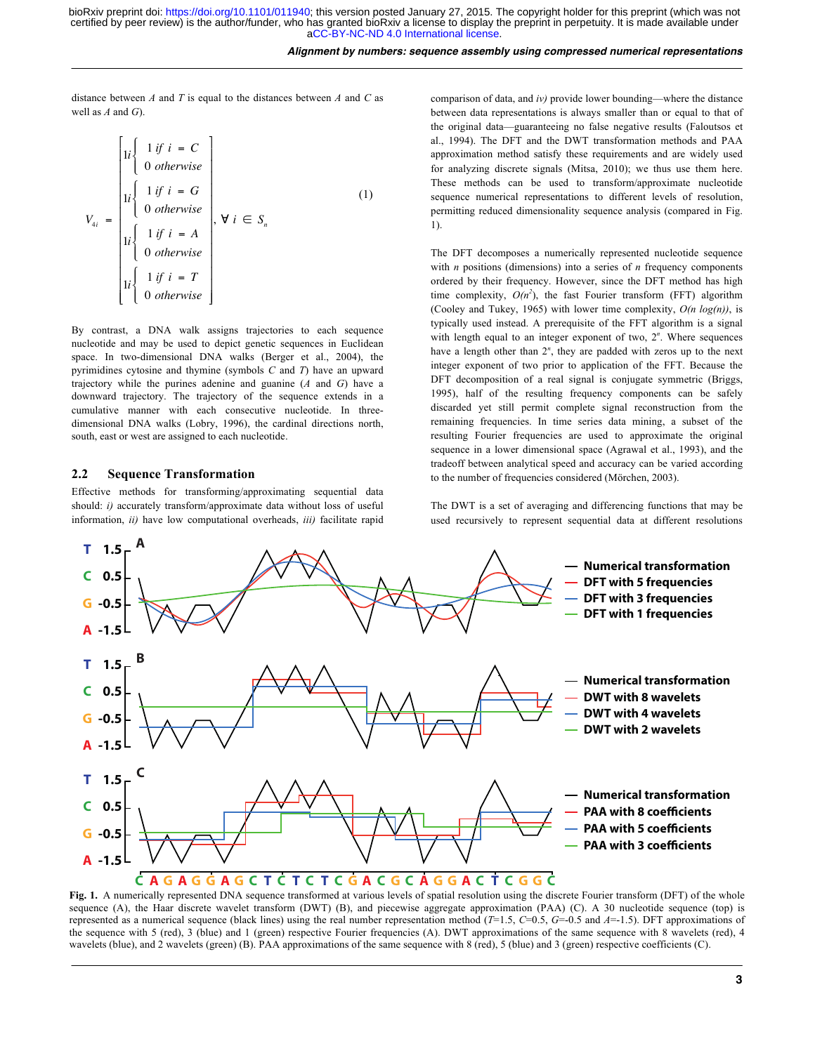#### *Alignment by numbers: sequence assembly using compressed numerical representations*

distance between *A* and *T* is equal to the distances between *A* and *C* as well as *A* and *G*).

$$
V_{4i} = \begin{bmatrix} 1i & \text{if } i = C \\ 0 & \text{otherwise} \\ 1i & \text{if } i = G \\ 0 & \text{otherwise} \\ 1i & \text{if } i = A \\ 1i & \text{otherwise} \\ 0 & \text{otherwise} \\ 1i & \text{otherwise} \end{bmatrix}, \forall i \in S_n
$$
\n(1)\n
$$
V_{4i} = \begin{bmatrix} 1 \\ 1 \text{ if } i = A \\ 0 \text{ otherwise} \\ 1 \text{ if } i = T \\ 0 \text{ otherwise} \end{bmatrix}
$$

By contrast, a DNA walk assigns trajectories to each sequence nucleotide and may be used to depict genetic sequences in Euclidean space. In two-dimensional DNA walks (Berger et al., 2004), the pyrimidines cytosine and thymine (symbols *C* and *T*) have an upward trajectory while the purines adenine and guanine (*A* and *G*) have a downward trajectory. The trajectory of the sequence extends in a cumulative manner with each consecutive nucleotide. In threedimensional DNA walks (Lobry, 1996), the cardinal directions north, south, east or west are assigned to each nucleotide.

## **2.2 Sequence Transformation**

Effective methods for transforming/approximating sequential data should: *i)* accurately transform/approximate data without loss of useful information, *ii)* have low computational overheads, *iii)* facilitate rapid

comparison of data, and *iv)* provide lower bounding—where the distance between data representations is always smaller than or equal to that of the original data—guaranteeing no false negative results (Faloutsos et al., 1994). The DFT and the DWT transformation methods and PAA approximation method satisfy these requirements and are widely used for analyzing discrete signals (Mitsa, 2010); we thus use them here. These methods can be used to transform/approximate nucleotide sequence numerical representations to different levels of resolution, permitting reduced dimensionality sequence analysis (compared in Fig. 1).

The DFT decomposes a numerically represented nucleotide sequence with *n* positions (dimensions) into a series of *n* frequency components ordered by their frequency. However, since the DFT method has high time complexity,  $O(n^2)$ , the fast Fourier transform (FFT) algorithm (Cooley and Tukey, 1965) with lower time complexity, *O(n log(n))*, is typically used instead. A prerequisite of the FFT algorithm is a signal with length equal to an integer exponent of two,  $2<sup>n</sup>$ . Where sequences have a length other than  $2^n$ , they are padded with zeros up to the next integer exponent of two prior to application of the FFT. Because the DFT decomposition of a real signal is conjugate symmetric (Briggs, 1995), half of the resulting frequency components can be safely discarded yet still permit complete signal reconstruction from the remaining frequencies. In time series data mining, a subset of the resulting Fourier frequencies are used to approximate the original sequence in a lower dimensional space (Agrawal et al., 1993), and the tradeoff between analytical speed and accuracy can be varied according to the number of frequencies considered (Mörchen, 2003).

The DWT is a set of averaging and differencing functions that may be used recursively to represent sequential data at different resolutions



**Fig. 1.** A numerically represented DNA sequence transformed at various levels of spatial resolution using the discrete Fourier transform (DFT) of the whole sequence (A), the Haar discrete wavelet transform (DWT) (B), and piecewise aggregate approximation (PAA) (C). A 30 nucleotide sequence (top) is represented as a numerical sequence (black lines) using the real number representation method (*T*=1.5, *C*=0.5, *G*=-0.5 and *A*=-1.5). DFT approximations of the sequence with 5 (red), 3 (blue) and 1 (green) respective Fourier frequencies (A). DWT approximations of the same sequence with 8 wavelets (red), 4 wavelets (blue), and 2 wavelets (green) (B). PAA approximations of the same sequence with 8 (red), 5 (blue) and 3 (green) respective coefficients (C).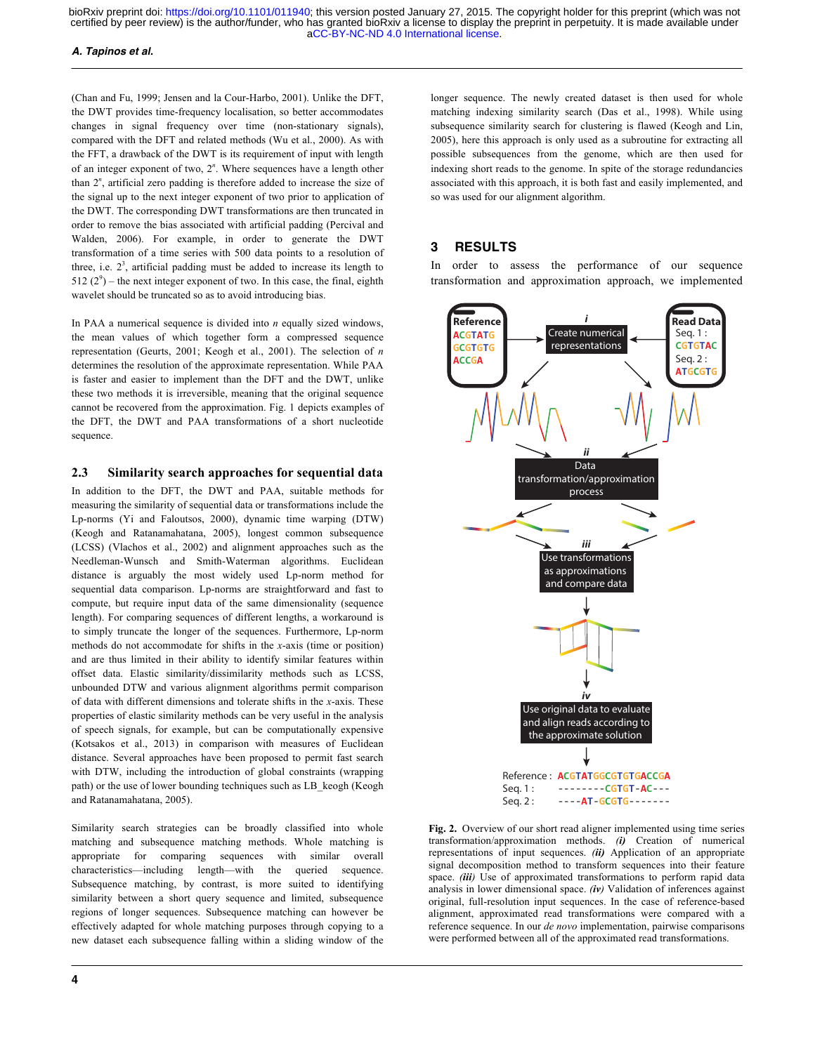## *A. Tapinos et al.*

(Chan and Fu, 1999; Jensen and la Cour-Harbo, 2001). Unlike the DFT, the DWT provides time-frequency localisation, so better accommodates changes in signal frequency over time (non-stationary signals), compared with the DFT and related methods (Wu et al., 2000). As with the FFT, a drawback of the DWT is its requirement of input with length of an integer exponent of two, 2*<sup>n</sup>* . Where sequences have a length other than 2*<sup>n</sup>* , artificial zero padding is therefore added to increase the size of the signal up to the next integer exponent of two prior to application of the DWT. The corresponding DWT transformations are then truncated in order to remove the bias associated with artificial padding (Percival and Walden, 2006). For example, in order to generate the DWT transformation of a time series with 500 data points to a resolution of three, i.e.  $2<sup>3</sup>$ , artificial padding must be added to increase its length to  $512 (2<sup>9</sup>)$  – the next integer exponent of two. In this case, the final, eighth wavelet should be truncated so as to avoid introducing bias.

In PAA a numerical sequence is divided into *n* equally sized windows, the mean values of which together form a compressed sequence representation (Geurts, 2001; Keogh et al., 2001). The selection of *n* determines the resolution of the approximate representation. While PAA is faster and easier to implement than the DFT and the DWT, unlike these two methods it is irreversible, meaning that the original sequence cannot be recovered from the approximation. Fig. 1 depicts examples of the DFT, the DWT and PAA transformations of a short nucleotide sequence.

# **2.3 Similarity search approaches for sequential data**

In addition to the DFT, the DWT and PAA, suitable methods for measuring the similarity of sequential data or transformations include the Lp-norms (Yi and Faloutsos, 2000), dynamic time warping (DTW) (Keogh and Ratanamahatana, 2005), longest common subsequence (LCSS) (Vlachos et al., 2002) and alignment approaches such as the Needleman-Wunsch and Smith-Waterman algorithms. Euclidean distance is arguably the most widely used Lp-norm method for sequential data comparison. Lp-norms are straightforward and fast to compute, but require input data of the same dimensionality (sequence length). For comparing sequences of different lengths, a workaround is to simply truncate the longer of the sequences. Furthermore, Lp-norm methods do not accommodate for shifts in the *x*-axis (time or position) and are thus limited in their ability to identify similar features within offset data. Elastic similarity/dissimilarity methods such as LCSS, unbounded DTW and various alignment algorithms permit comparison of data with different dimensions and tolerate shifts in the *x*-axis. These properties of elastic similarity methods can be very useful in the analysis of speech signals, for example, but can be computationally expensive (Kotsakos et al., 2013) in comparison with measures of Euclidean distance. Several approaches have been proposed to permit fast search with DTW, including the introduction of global constraints (wrapping path) or the use of lower bounding techniques such as LB\_keogh (Keogh and Ratanamahatana, 2005).

Similarity search strategies can be broadly classified into whole matching and subsequence matching methods. Whole matching is appropriate for comparing sequences with similar overall characteristics—including length—with the queried sequence. Subsequence matching, by contrast, is more suited to identifying similarity between a short query sequence and limited, subsequence regions of longer sequences. Subsequence matching can however be effectively adapted for whole matching purposes through copying to a new dataset each subsequence falling within a sliding window of the

longer sequence. The newly created dataset is then used for whole matching indexing similarity search (Das et al., 1998). While using subsequence similarity search for clustering is flawed (Keogh and Lin, 2005), here this approach is only used as a subroutine for extracting all possible subsequences from the genome, which are then used for indexing short reads to the genome. In spite of the storage redundancies associated with this approach, it is both fast and easily implemented, and so was used for our alignment algorithm.

# **3 RESULTS**

In order to assess the performance of our sequence transformation and approximation approach, we implemented



**Fig. 2.** Overview of our short read aligner implemented using time series transformation/approximation methods. *(i)* Creation of numerical representations of input sequences. *(ii)* Application of an appropriate signal decomposition method to transform sequences into their feature space. *(iii)* Use of approximated transformations to perform rapid data analysis in lower dimensional space. *(iv)* Validation of inferences against original, full-resolution input sequences. In the case of reference-based alignment, approximated read transformations were compared with a reference sequence. In our *de novo* implementation, pairwise comparisons were performed between all of the approximated read transformations.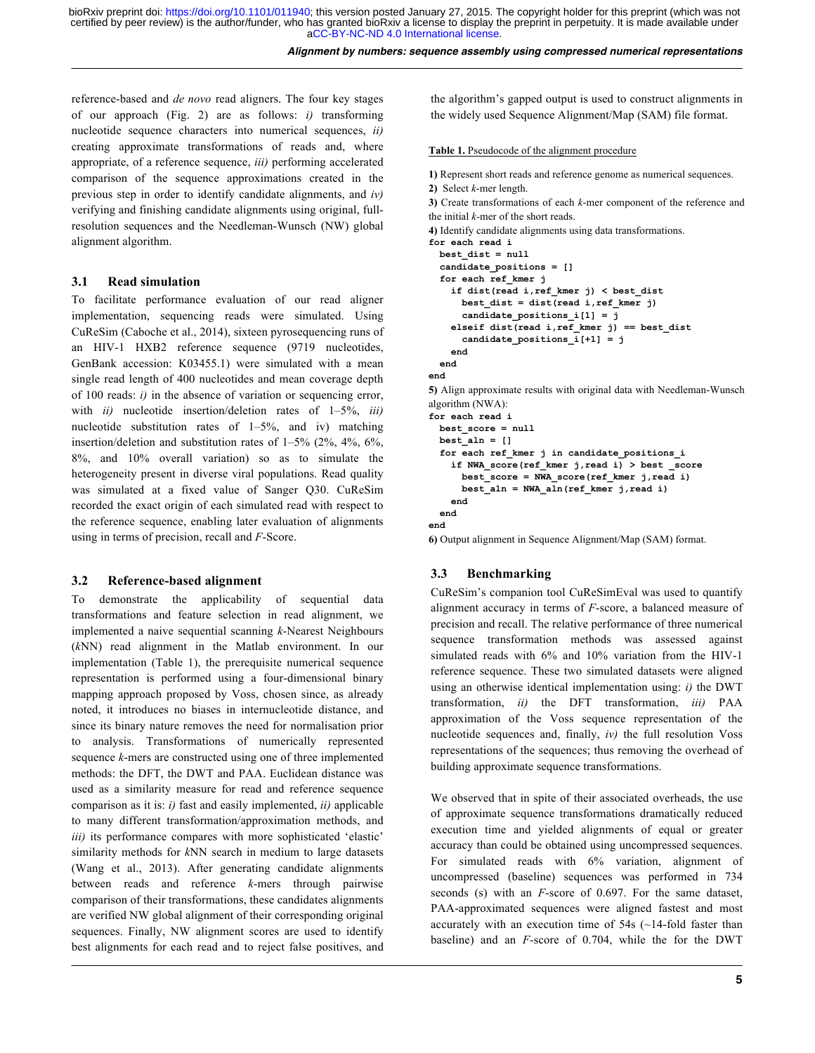reference-based and *de novo* read aligners. The four key stages of our approach (Fig. 2) are as follows: *i)* transforming nucleotide sequence characters into numerical sequences, *ii)* creating approximate transformations of reads and, where appropriate, of a reference sequence, *iii)* performing accelerated comparison of the sequence approximations created in the previous step in order to identify candidate alignments, and *iv)* verifying and finishing candidate alignments using original, fullresolution sequences and the Needleman-Wunsch (NW) global alignment algorithm.

# **3.1 Read simulation**

To facilitate performance evaluation of our read aligner implementation, sequencing reads were simulated. Using CuReSim (Caboche et al., 2014), sixteen pyrosequencing runs of an HIV-1 HXB2 reference sequence (9719 nucleotides, GenBank accession: K03455.1) were simulated with a mean single read length of 400 nucleotides and mean coverage depth of 100 reads: *i)* in the absence of variation or sequencing error, with *ii)* nucleotide insertion/deletion rates of 1–5%, *iii)* nucleotide substitution rates of 1–5%, and iv) matching insertion/deletion and substitution rates of  $1-5\%$  (2%, 4%, 6%, 8%, and 10% overall variation) so as to simulate the heterogeneity present in diverse viral populations. Read quality was simulated at a fixed value of Sanger Q30. CuReSim recorded the exact origin of each simulated read with respect to the reference sequence, enabling later evaluation of alignments using in terms of precision, recall and *F*-Score.

# **3.2 Reference-based alignment**

To demonstrate the applicability of sequential data transformations and feature selection in read alignment, we implemented a naive sequential scanning *k*-Nearest Neighbours (*k*NN) read alignment in the Matlab environment. In our implementation (Table 1), the prerequisite numerical sequence representation is performed using a four-dimensional binary mapping approach proposed by Voss, chosen since, as already noted, it introduces no biases in internucleotide distance, and since its binary nature removes the need for normalisation prior to analysis. Transformations of numerically represented sequence *k*-mers are constructed using one of three implemented methods: the DFT, the DWT and PAA. Euclidean distance was used as a similarity measure for read and reference sequence comparison as it is: *i)* fast and easily implemented, *ii)* applicable to many different transformation/approximation methods, and *iii)* its performance compares with more sophisticated 'elastic' similarity methods for *k*NN search in medium to large datasets (Wang et al., 2013). After generating candidate alignments between reads and reference *k*-mers through pairwise comparison of their transformations, these candidates alignments are verified NW global alignment of their corresponding original sequences. Finally, NW alignment scores are used to identify best alignments for each read and to reject false positives, and

the algorithm's gapped output is used to construct alignments in the widely used Sequence Alignment/Map (SAM) file format.

# **Table 1.** Pseudocode of the alignment procedure

```
1) Represent short reads and reference genome as numerical sequences.
2) Select k-mer length.
```
**3)** Create transformations of each *k*-mer component of the reference and the initial *k*-mer of the short reads.

**4)** Identify candidate alignments using data transformations.

```
for each read i
  best_dist = null
   candidate_positions = []
   for each ref_kmer j
     if dist(read i,ref_kmer j) < best_dist
       best_dist = dist(read i,ref_kmer j)
       candidate_positions_i[1] = j
    elseif dist(read i, ref kmer j) == best dist
       candidate_positions_i[+1] = j
     end
   end
end
5) Align approximate results with original data with Needleman-Wunsch 
algorithm (NWA):
for each read i
  best_score = null
  best_aln = []
   for each ref_kmer j in candidate_positions_i
     if NWA_score(ref_kmer j,read i) > best _score
       best_score = NWA_score(ref_kmer j,read i)
      best aln = NWA aln(ref kmer j,read i)
     end
  end
```

```
end
```
**6)** Output alignment in Sequence Alignment/Map (SAM) format.

# **3.3 Benchmarking**

CuReSim's companion tool CuReSimEval was used to quantify alignment accuracy in terms of *F*-score, a balanced measure of precision and recall. The relative performance of three numerical sequence transformation methods was assessed against simulated reads with 6% and 10% variation from the HIV-1 reference sequence. These two simulated datasets were aligned using an otherwise identical implementation using: *i)* the DWT transformation, *ii)* the DFT transformation, *iii)* PAA approximation of the Voss sequence representation of the nucleotide sequences and, finally, *iv)* the full resolution Voss representations of the sequences; thus removing the overhead of building approximate sequence transformations.

We observed that in spite of their associated overheads, the use of approximate sequence transformations dramatically reduced execution time and yielded alignments of equal or greater accuracy than could be obtained using uncompressed sequences. For simulated reads with 6% variation, alignment of uncompressed (baseline) sequences was performed in 734 seconds (s) with an *F*-score of 0.697. For the same dataset, PAA-approximated sequences were aligned fastest and most accurately with an execution time of 54s (~14-fold faster than baseline) and an *F*-score of 0.704, while the for the DWT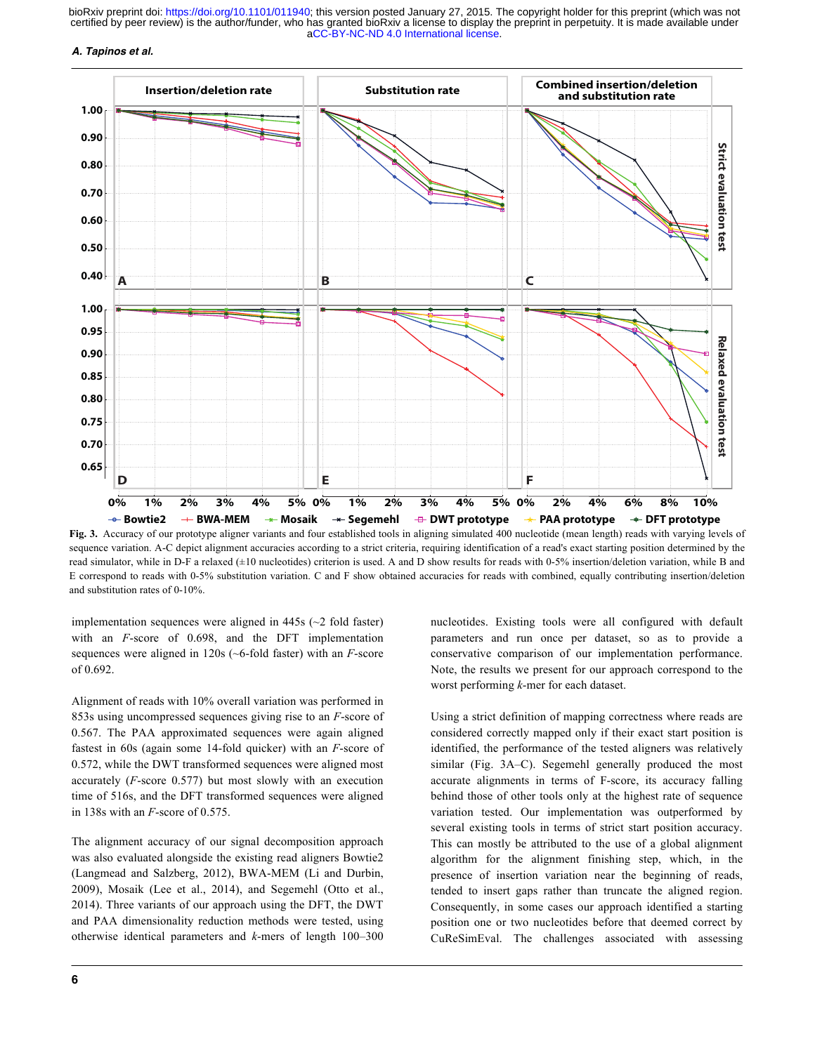## *A. Tapinos et al.*



**Fig. 3.** Accuracy of our prototype aligner variants and four established tools in aligning simulated 400 nucleotide (mean length) reads with varying levels of sequence variation. A-C depict alignment accuracies according to a strict criteria, requiring identification of a read's exact starting position determined by the read simulator, while in D-F a relaxed (±10 nucleotides) criterion is used. A and D show results for reads with 0-5% insertion/deletion variation, while B and E correspond to reads with 0-5% substitution variation. C and F show obtained accuracies for reads with combined, equally contributing insertion/deletion and substitution rates of 0-10%.

implementation sequences were aligned in 445s (~2 fold faster) with an *F*-score of 0.698, and the DFT implementation sequences were aligned in 120s (~6-fold faster) with an *F*-score of 0.692.

Alignment of reads with 10% overall variation was performed in 853s using uncompressed sequences giving rise to an *F*-score of 0.567. The PAA approximated sequences were again aligned fastest in 60s (again some 14-fold quicker) with an *F*-score of 0.572, while the DWT transformed sequences were aligned most accurately (*F*-score 0.577) but most slowly with an execution time of 516s, and the DFT transformed sequences were aligned in 138s with an *F*-score of 0.575.

The alignment accuracy of our signal decomposition approach was also evaluated alongside the existing read aligners Bowtie2 (Langmead and Salzberg, 2012), BWA-MEM (Li and Durbin, 2009), Mosaik (Lee et al., 2014), and Segemehl (Otto et al., 2014). Three variants of our approach using the DFT, the DWT and PAA dimensionality reduction methods were tested, using otherwise identical parameters and *k*-mers of length 100–300

nucleotides. Existing tools were all configured with default parameters and run once per dataset, so as to provide a conservative comparison of our implementation performance. Note, the results we present for our approach correspond to the worst performing *k*-mer for each dataset.

Using a strict definition of mapping correctness where reads are considered correctly mapped only if their exact start position is identified, the performance of the tested aligners was relatively similar (Fig. 3A–C). Segemehl generally produced the most accurate alignments in terms of F-score, its accuracy falling behind those of other tools only at the highest rate of sequence variation tested. Our implementation was outperformed by several existing tools in terms of strict start position accuracy. This can mostly be attributed to the use of a global alignment algorithm for the alignment finishing step, which, in the presence of insertion variation near the beginning of reads, tended to insert gaps rather than truncate the aligned region. Consequently, in some cases our approach identified a starting position one or two nucleotides before that deemed correct by CuReSimEval. The challenges associated with assessing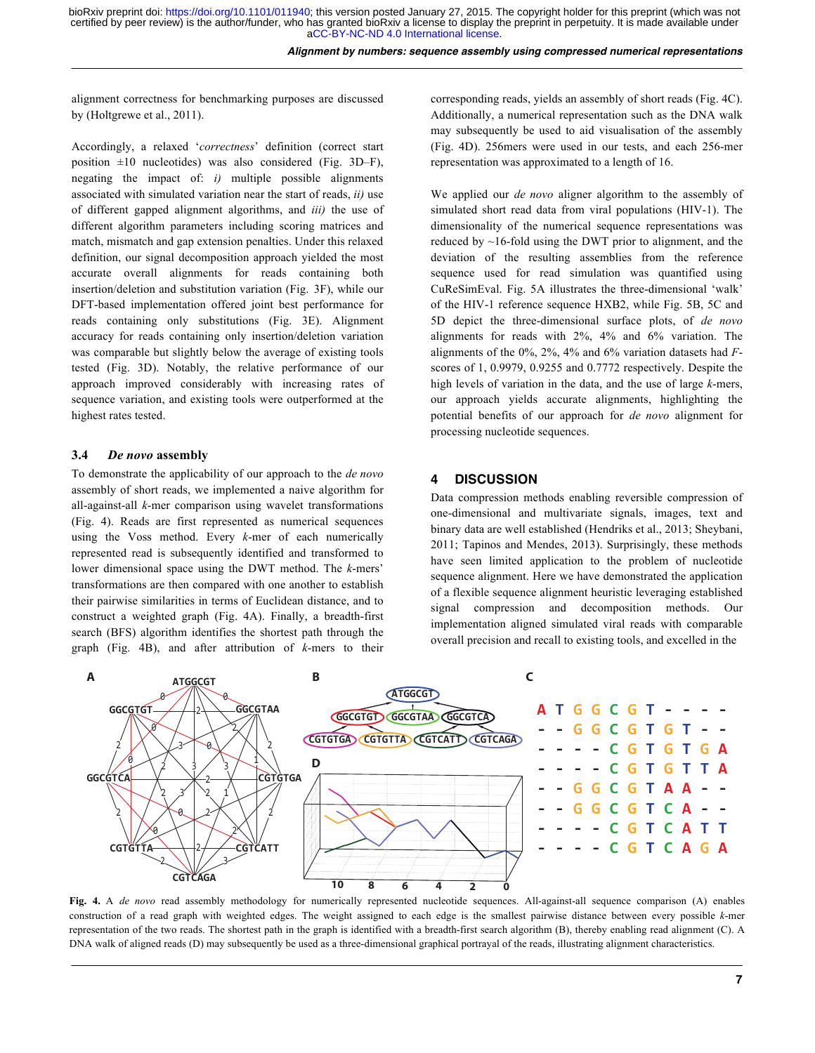alignment correctness for benchmarking purposes are discussed by (Holtgrewe et al., 2011).

Accordingly, a relaxed '*correctness*' definition (correct start position  $\pm 10$  nucleotides) was also considered (Fig. 3D–F), negating the impact of: *i)* multiple possible alignments associated with simulated variation near the start of reads, *ii)* use of different gapped alignment algorithms, and *iii)* the use of different algorithm parameters including scoring matrices and match, mismatch and gap extension penalties. Under this relaxed definition, our signal decomposition approach yielded the most accurate overall alignments for reads containing both insertion/deletion and substitution variation (Fig. 3F), while our DFT-based implementation offered joint best performance for reads containing only substitutions (Fig. 3E). Alignment accuracy for reads containing only insertion/deletion variation was comparable but slightly below the average of existing tools tested (Fig. 3D). Notably, the relative performance of our approach improved considerably with increasing rates of sequence variation, and existing tools were outperformed at the highest rates tested.

#### **3.4** *De novo* **assembly**

To demonstrate the applicability of our approach to the *de novo* assembly of short reads, we implemented a naive algorithm for all-against-all *k*-mer comparison using wavelet transformations (Fig. 4). Reads are first represented as numerical sequences using the Voss method. Every *k*-mer of each numerically represented read is subsequently identified and transformed to lower dimensional space using the DWT method. The *k*-mers' transformations are then compared with one another to establish their pairwise similarities in terms of Euclidean distance, and to construct a weighted graph (Fig. 4A). Finally, a breadth-first search (BFS) algorithm identifies the shortest path through the graph (Fig. 4B), and after attribution of *k*-mers to their

corresponding reads, yields an assembly of short reads (Fig. 4C). Additionally, a numerical representation such as the DNA walk may subsequently be used to aid visualisation of the assembly (Fig. 4D). 256mers were used in our tests, and each 256-mer representation was approximated to a length of 16.

We applied our *de novo* aligner algorithm to the assembly of simulated short read data from viral populations (HIV-1). The dimensionality of the numerical sequence representations was reduced by  $\sim$ 16-fold using the DWT prior to alignment, and the deviation of the resulting assemblies from the reference sequence used for read simulation was quantified using CuReSimEval. Fig. 5A illustrates the three-dimensional 'walk' of the HIV-1 reference sequence HXB2, while Fig. 5B, 5C and 5D depict the three-dimensional surface plots, of *de novo* alignments for reads with 2%, 4% and 6% variation. The alignments of the 0%, 2%, 4% and 6% variation datasets had *F*scores of 1, 0.9979, 0.9255 and 0.7772 respectively. Despite the high levels of variation in the data, and the use of large *k*-mers, our approach yields accurate alignments, highlighting the potential benefits of our approach for *de novo* alignment for processing nucleotide sequences.

# **4 DISCUSSION**

Data compression methods enabling reversible compression of one-dimensional and multivariate signals, images, text and binary data are well established (Hendriks et al., 2013; Sheybani, 2011; Tapinos and Mendes, 2013). Surprisingly, these methods have seen limited application to the problem of nucleotide sequence alignment. Here we have demonstrated the application of a flexible sequence alignment heuristic leveraging established signal compression and decomposition methods. Our implementation aligned simulated viral reads with comparable overall precision and recall to existing tools, and excelled in the



**Fig. 4.** A *de novo* read assembly methodology for numerically represented nucleotide sequences. All-against-all sequence comparison (A) enables construction of a read graph with weighted edges. The weight assigned to each edge is the smallest pairwise distance between every possible *k*-mer representation of the two reads. The shortest path in the graph is identified with a breadth-first search algorithm (B), thereby enabling read alignment (C). A DNA walk of aligned reads (D) may subsequently be used as a three-dimensional graphical portrayal of the reads, illustrating alignment characteristics.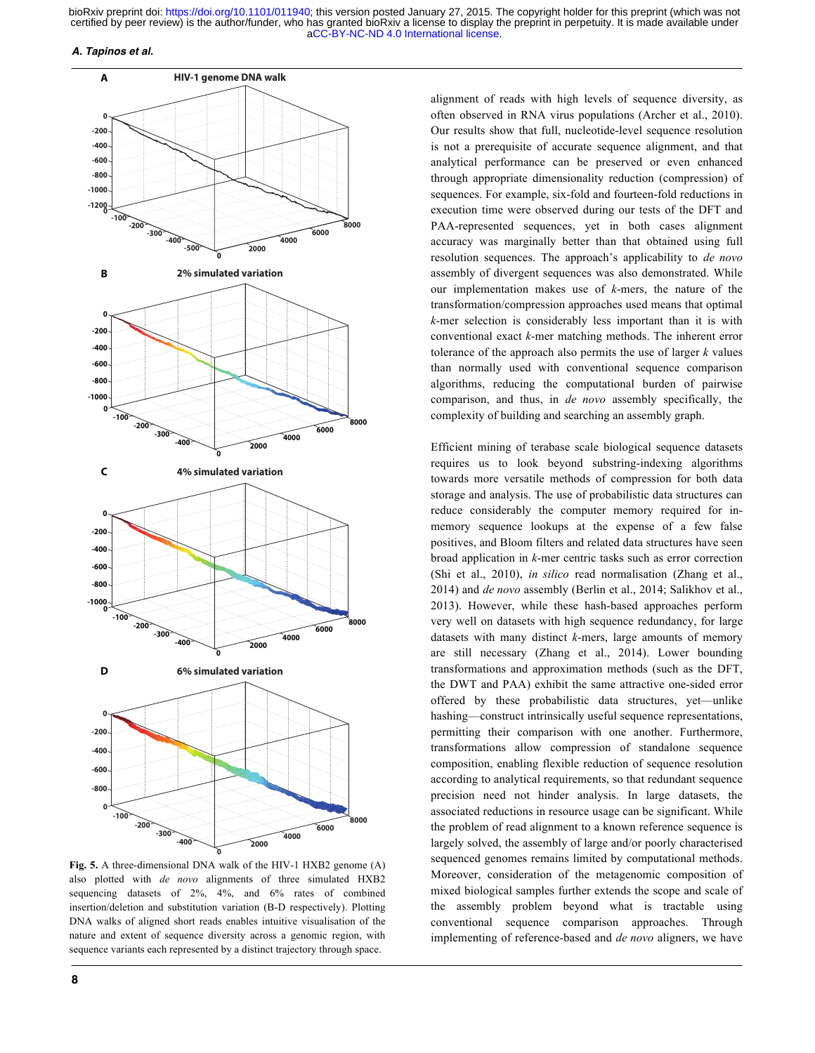#### *A. Tapinos et al.*



**Fig. 5.** A three-dimensional DNA walk of the HIV-1 HXB2 genome (A) also plotted with *de novo* alignments of three simulated HXB2 sequencing datasets of 2%, 4%, and 6% rates of combined insertion/deletion and substitution variation (B-D respectively). Plotting DNA walks of aligned short reads enables intuitive visualisation of the nature and extent of sequence diversity across a genomic region, with sequence variants each represented by a distinct trajectory through space.

**8**

alignment of reads with high levels of sequence diversity, as often observed in RNA virus populations (Archer et al., 2010). Our results show that full, nucleotide-level sequence resolution is not a prerequisite of accurate sequence alignment, and that analytical performance can be preserved or even enhanced through appropriate dimensionality reduction (compression) of sequences. For example, six-fold and fourteen-fold reductions in execution time were observed during our tests of the DFT and PAA-represented sequences, yet in both cases alignment accuracy was marginally better than that obtained using full resolution sequences. The approach's applicability to *de novo* assembly of divergent sequences was also demonstrated. While our implementation makes use of *k*-mers, the nature of the transformation/compression approaches used means that optimal *k*-mer selection is considerably less important than it is with conventional exact *k*-mer matching methods. The inherent error tolerance of the approach also permits the use of larger *k* values than normally used with conventional sequence comparison algorithms, reducing the computational burden of pairwise comparison, and thus, in *de novo* assembly specifically, the complexity of building and searching an assembly graph.

Efficient mining of terabase scale biological sequence datasets requires us to look beyond substring-indexing algorithms towards more versatile methods of compression for both data storage and analysis. The use of probabilistic data structures can reduce considerably the computer memory required for inmemory sequence lookups at the expense of a few false positives, and Bloom filters and related data structures have seen broad application in *k*-mer centric tasks such as error correction (Shi et al., 2010), *in silico* read normalisation (Zhang et al., 2014) and *de novo* assembly (Berlin et al., 2014; Salikhov et al., 2013). However, while these hash-based approaches perform very well on datasets with high sequence redundancy, for large datasets with many distinct *k*-mers, large amounts of memory are still necessary (Zhang et al., 2014). Lower bounding transformations and approximation methods (such as the DFT, the DWT and PAA) exhibit the same attractive one-sided error offered by these probabilistic data structures, yet—unlike hashing—construct intrinsically useful sequence representations, permitting their comparison with one another. Furthermore, transformations allow compression of standalone sequence composition, enabling flexible reduction of sequence resolution according to analytical requirements, so that redundant sequence precision need not hinder analysis. In large datasets, the associated reductions in resource usage can be significant. While the problem of read alignment to a known reference sequence is largely solved, the assembly of large and/or poorly characterised sequenced genomes remains limited by computational methods. Moreover, consideration of the metagenomic composition of mixed biological samples further extends the scope and scale of the assembly problem beyond what is tractable using conventional sequence comparison approaches. Through implementing of reference-based and *de novo* aligners, we have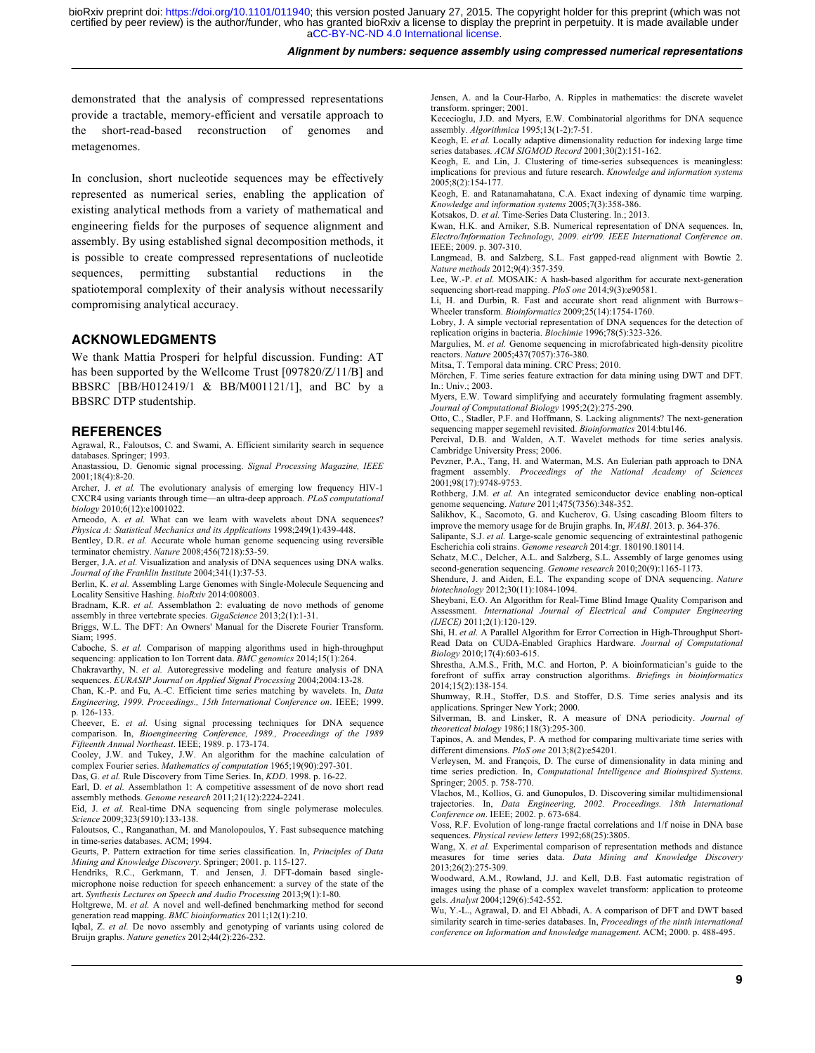## *Alignment by numbers: sequence assembly using compressed numerical representations*

demonstrated that the analysis of compressed representations provide a tractable, memory-efficient and versatile approach to the short-read-based reconstruction of genomes and metagenomes.

In conclusion, short nucleotide sequences may be effectively represented as numerical series, enabling the application of existing analytical methods from a variety of mathematical and engineering fields for the purposes of sequence alignment and assembly. By using established signal decomposition methods, it is possible to create compressed representations of nucleotide sequences, permitting substantial reductions in spatiotemporal complexity of their analysis without necessarily compromising analytical accuracy.

# **ACKNOWLEDGMENTS**

We thank Mattia Prosperi for helpful discussion. Funding: AT has been supported by the Wellcome Trust [097820/Z/11/B] and BBSRC [BB/H012419/1 & BB/M001121/1], and BC by a BBSRC DTP studentship.

## **REFERENCES**

Agrawal, R., Faloutsos, C. and Swami, A. Efficient similarity search in sequence databases. Springer; 1993.

Anastassiou, D. Genomic signal processing. *Signal Processing Magazine, IEEE* 2001;18(4):8-20.

Archer, J. *et al.* The evolutionary analysis of emerging low frequency HIV-1 CXCR4 using variants through time—an ultra-deep approach. *PLoS computational biology* 2010;6(12):e1001022.

Arneodo, A. *et al.* What can we learn with wavelets about DNA sequences? *Physica A: Statistical Mechanics and its Applications* 1998;249(1):439-448.

Bentley, D.R. *et al.* Accurate whole human genome sequencing using reversible terminator chemistry. *Nature* 2008;456(7218):53-59.

Berger, J.A. *et al.* Visualization and analysis of DNA sequences using DNA walks. *Journal of the Franklin Institute* 2004;341(1):37-53.

Berlin, K. *et al.* Assembling Large Genomes with Single-Molecule Sequencing and Locality Sensitive Hashing. *bioRxiv* 2014:008003.

Bradnam, K.R. *et al.* Assemblathon 2: evaluating de novo methods of genome assembly in three vertebrate species. *GigaScience* 2013;2(1):1-31.

Briggs, W.L. The DFT: An Owners' Manual for the Discrete Fourier Transform. Siam; 1995.

Caboche, S. *et al.* Comparison of mapping algorithms used in high-throughput sequencing: application to Ion Torrent data. *BMC genomics* 2014;15(1):264.

Chakravarthy, N. *et al.* Autoregressive modeling and feature analysis of DNA sequences. *EURASIP Journal on Applied Signal Processing* 2004;2004:13-28.

Chan, K.-P. and Fu, A.-C. Efficient time series matching by wavelets. In, *Data Engineering, 1999. Proceedings., 15th International Conference on*. IEEE; 1999. p. 126-133.

Cheever, E. *et al.* Using signal processing techniques for DNA sequence comparison. In, *Bioengineering Conference, 1989., Proceedings of the 1989 Fifteenth Annual Northeast*. IEEE; 1989. p. 173-174.

Cooley, J.W. and Tukey, J.W. An algorithm for the machine calculation of complex Fourier series. *Mathematics of computation* 1965;19(90):297-301.

Das, G. *et al.* Rule Discovery from Time Series. In, *KDD*. 1998. p. 16-22.

Earl, D. *et al.* Assemblathon 1: A competitive assessment of de novo short read assembly methods. *Genome research* 2011;21(12):2224-2241.

Eid, J. *et al.* Real-time DNA sequencing from single polymerase molecules. *Science* 2009;323(5910):133-138.

Faloutsos, C., Ranganathan, M. and Manolopoulos, Y. Fast subsequence matching in time-series databases. ACM; 1994.

Geurts, P. Pattern extraction for time series classification. In, *Principles of Data Mining and Knowledge Discovery*. Springer; 2001. p. 115-127.

Hendriks, R.C., Gerkmann, T. and Jensen, J. DFT-domain based singlemicrophone noise reduction for speech enhancement: a survey of the state of the art. *Synthesis Lectures on Speech and Audio Processing* 2013;9(1):1-80.

Holtgrewe, M. *et al.* A novel and well-defined benchmarking method for second generation read mapping. *BMC bioinformatics* 2011;12(1):210.

Iqbal, Z. *et al.* De novo assembly and genotyping of variants using colored de Bruijn graphs. *Nature genetics* 2012;44(2):226-232.

Jensen, A. and la Cour-Harbo, A. Ripples in mathematics: the discrete wavelet transform. springer; 2001.

Kececioglu, J.D. and Myers, E.W. Combinatorial algorithms for DNA sequence assembly. *Algorithmica* 1995;13(1-2):7-51.

Keogh, E. *et al.* Locally adaptive dimensionality reduction for indexing large time series databases. *ACM SIGMOD Record* 2001;30(2):151-162.

Keogh, E. and Lin, J. Clustering of time-series subsequences is meaningless: implications for previous and future research. *Knowledge and information systems* 2005;8(2):154-177.

Keogh, E. and Ratanamahatana, C.A. Exact indexing of dynamic time warping. *Knowledge and information systems* 2005;7(3):358-386.

Kotsakos, D. *et al.* Time-Series Data Clustering. In.; 2013.

Kwan, H.K. and Arniker, S.B. Numerical representation of DNA sequences. In, *Electro/Information Technology, 2009. eit'09. IEEE International Conference on*. IEEE; 2009. p. 307-310.

Langmead, B. and Salzberg, S.L. Fast gapped-read alignment with Bowtie 2. *Nature methods* 2012;9(4):357-359.

Lee, W.-P. *et al.* MOSAIK: A hash-based algorithm for accurate next-generation sequencing short-read mapping. *PloS one* 2014;9(3):e90581.

Li, H. and Durbin, R. Fast and accurate short read alignment with Burrows– Wheeler transform. *Bioinformatics* 2009;25(14):1754-1760.

Lobry, J. A simple vectorial representation of DNA sequences for the detection of replication origins in bacteria. *Biochimie* 1996;78(5):323-326.

Margulies, M. *et al.* Genome sequencing in microfabricated high-density picolitre reactors. *Nature* 2005;437(7057):376-380.

Mitsa, T. Temporal data mining. CRC Press; 2010.

Mörchen, F. Time series feature extraction for data mining using DWT and DFT. In.: Univ.; 2003.

Myers, E.W. Toward simplifying and accurately formulating fragment assembly. *Journal of Computational Biology* 1995;2(2):275-290.

Otto, C., Stadler, P.F. and Hoffmann, S. Lacking alignments? The next-generation

sequencing mapper segemehl revisited. *Bioinformatics* 2014:btu146. Percival, D.B. and Walden, A.T. Wavelet methods for time series analysis. Cambridge University Press; 2006.

Pevzner, P.A., Tang, H. and Waterman, M.S. An Eulerian path approach to DNA fragment assembly. *Proceedings of the National Academy of Sciences* 2001;98(17):9748-9753.

Rothberg, J.M. *et al.* An integrated semiconductor device enabling non-optical genome sequencing. *Nature* 2011;475(7356):348-352.

Salikhov, K., Sacomoto, G. and Kucherov, G. Using cascading Bloom filters to improve the memory usage for de Brujin graphs. In, *WABI*. 2013. p. 364-376.

Salipante, S.J. *et al.* Large-scale genomic sequencing of extraintestinal pathogenic Escherichia coli strains. *Genome research* 2014:gr. 180190.180114.

Schatz, M.C., Delcher, A.L. and Salzberg, S.L. Assembly of large genomes using second-generation sequencing. *Genome research* 2010;20(9):1165-1173.

Shendure, J. and Aiden, E.L. The expanding scope of DNA sequencing. *Nature biotechnology* 2012;30(11):1084-1094.

Sheybani, E.O. An Algorithm for Real-Time Blind Image Quality Comparison and Assessment. *International Journal of Electrical and Computer Engineering (IJECE)* 2011;2(1):120-129.

Shi, H. *et al.* A Parallel Algorithm for Error Correction in High-Throughput Short-Read Data on CUDA-Enabled Graphics Hardware. *Journal of Computational Biology* 2010;17(4):603-615.

Shrestha, A.M.S., Frith, M.C. and Horton, P. A bioinformatician's guide to the forefront of suffix array construction algorithms. *Briefings in bioinformatics* 2014;15(2):138-154.

Shumway, R.H., Stoffer, D.S. and Stoffer, D.S. Time series analysis and its applications. Springer New York; 2000.

Silverman, B. and Linsker, R. A measure of DNA periodicity. *Journal of theoretical biology* 1986;118(3):295-300.

Tapinos, A. and Mendes, P. A method for comparing multivariate time series with different dimensions. *PloS one* 2013;8(2):e54201.

Verleysen, M. and François, D. The curse of dimensionality in data mining and time series prediction. In, *Computational Intelligence and Bioinspired Systems*. Springer; 2005. p. 758-770.

Vlachos, M., Kollios, G. and Gunopulos, D. Discovering similar multidimensional trajectories. In, *Data Engineering, 2002. Proceedings. 18th International Conference on*. IEEE; 2002. p. 673-684.

Voss, R.F. Evolution of long-range fractal correlations and 1/f noise in DNA base sequences. *Physical review letters* 1992;68(25):3805.

Wang, X. *et al.* Experimental comparison of representation methods and distance measures for time series data. *Data Mining and Knowledge Discovery* 2013;26(2):275-309.

Woodward, A.M., Rowland, J.J. and Kell, D.B. Fast automatic registration of images using the phase of a complex wavelet transform: application to proteome

gels. *Analyst* 2004;129(6):542-552. Wu, Y.-L., Agrawal, D. and El Abbadi, A. A comparison of DFT and DWT based similarity search in time-series databases. In, *Proceedings of the ninth international conference on Information and knowledge management*. ACM; 2000. p. 488-495.